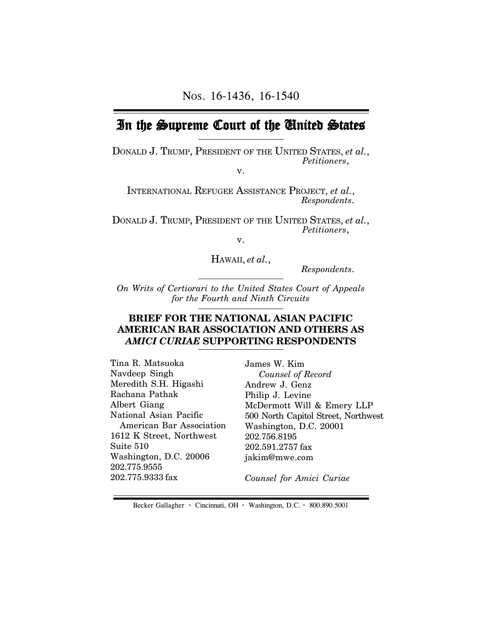# In the Supreme Court of the United States

DONALD J. TRUMP, PRESIDENT OF THE UNITED STATES, *et al.*, *Petitioners*,

v.

INTERNATIONAL REFUGEE ASSISTANCE PROJECT, *et al.*, *Respondents*.

DONALD J. TRUMP, PRESIDENT OF THE UNITED STATES, *et al.*, *Petitioners*,

v.

HAWAII, *et al.*,

 *Respondents*.

*On Writs of Certiorari to the United States Court of Appeals for the Fourth and Ninth Circuits*

## **BRIEF FOR THE NATIONAL ASIAN PACIFIC AMERICAN BAR ASSOCIATION AND OTHERS AS** *AMICI CURIAE* **SUPPORTING RESPONDENTS**

Tina R. Matsuoka Navdeep Singh Meredith S.H. Higashi Rachana Pathak Albert Giang National Asian Pacific American Bar Association 1612 K Street, Northwest Suite 510 Washington, D.C. 20006 202.775.9555 202.775.9333 fax

James W. Kim *Counsel of Record* Andrew J. Genz Philip J. Levine McDermott Will & Emery LLP 500 North Capitol Street, Northwest Washington, D.C. 20001 202.756.8195 202.591.2757 fax jakim@mwe.com

*Counsel for Amici Curiae*

Becker Gallagher **·** Cincinnati, OH **·** Washington, D.C. **·** 800.890.5001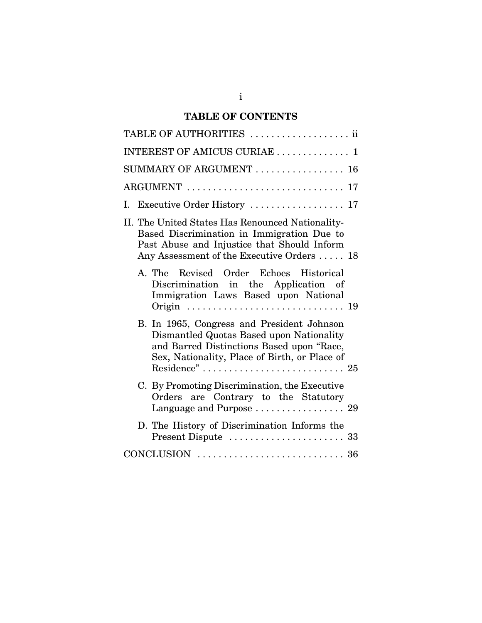## **TABLE OF CONTENTS**

| TABLE OF AUTHORITIES  ii                                                                                                                                                                    |
|---------------------------------------------------------------------------------------------------------------------------------------------------------------------------------------------|
| INTEREST OF AMICUS CURIAE  1                                                                                                                                                                |
| SUMMARY OF ARGUMENT  16                                                                                                                                                                     |
| ARGUMENT  17                                                                                                                                                                                |
| I. Executive Order History  17                                                                                                                                                              |
| II. The United States Has Renounced Nationality-<br>Based Discrimination in Immigration Due to<br>Past Abuse and Injustice that Should Inform<br>Any Assessment of the Executive Orders  18 |
| A. The Revised Order Echoes Historical<br>Discrimination in the Application of<br>Immigration Laws Based upon National                                                                      |
| B. In 1965, Congress and President Johnson<br>Dismantled Quotas Based upon Nationality<br>and Barred Distinctions Based upon "Race,<br>Sex, Nationality, Place of Birth, or Place of        |
| C. By Promoting Discrimination, the Executive<br>Orders are Contrary to the Statutory<br>Language and Purpose $\ldots \ldots \ldots \ldots \ldots$ 29                                       |
| D. The History of Discrimination Informs the<br>$Present$ Dispute $\ldots \ldots \ldots \ldots \ldots \ldots 33$                                                                            |
|                                                                                                                                                                                             |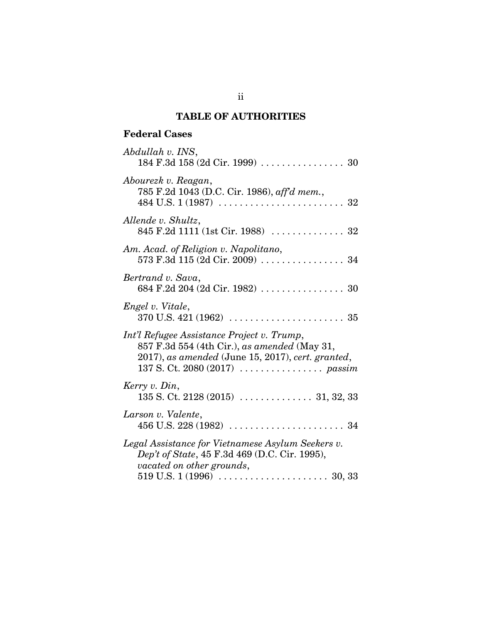## **TABLE OF AUTHORITIES**

## **Federal Cases**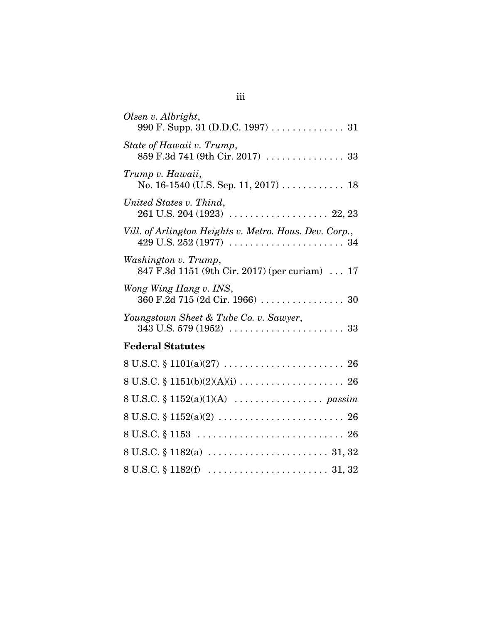| Olsen v. Albright,<br>990 F. Supp. 31 (D.D.C. 1997) 31                                             |
|----------------------------------------------------------------------------------------------------|
| State of Hawaii v. Trump,<br>859 F.3d 741 (9th Cir. 2017)  33                                      |
| Trump v. Hawaii,                                                                                   |
| United States v. Thind,                                                                            |
| Vill. of Arlington Heights v. Metro. Hous. Dev. Corp.,                                             |
| Washington v. Trump,<br>847 F.3d 1151 (9th Cir. 2017) (per curiam) 17                              |
| Wong Wing Hang v. INS,                                                                             |
| Youngstown Sheet & Tube Co. v. Sawyer,                                                             |
| <b>Federal Statutes</b>                                                                            |
|                                                                                                    |
|                                                                                                    |
|                                                                                                    |
| $8 U.S.C. \S 1152(a)(2) \ldots \ldots \ldots \ldots \ldots \ldots \ldots \ldots \ldots 26$         |
| $8 U.S.C. \S 1153 \ldots \ldots \ldots \ldots \ldots \ldots \ldots \ldots \ldots \ldots \qquad 26$ |

8 U.S.C. § 1182(a) . . . . . . . . . . . . . . . . . . . . . . . 31, 32

8 U.S.C. § 1182(f) . . . . . . . . . . . . . . . . . . . . . . . 31, 32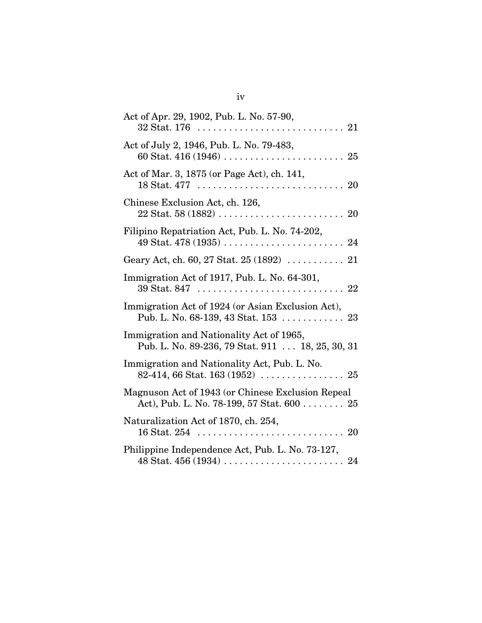| Act of Apr. 29, 1902, Pub. L. No. 57-90,                                                                                     |
|------------------------------------------------------------------------------------------------------------------------------|
| Act of July 2, 1946, Pub. L. No. 79-483,<br>60 Stat. 416 (1946) $\ldots \ldots \ldots \ldots \ldots \ldots \ldots \ldots 25$ |
| Act of Mar. 3, 1875 (or Page Act), ch. 141,                                                                                  |
| Chinese Exclusion Act, ch. 126,<br>$22\,\mathrm{Stat.}\,58\,(1882)\,\ldots\ldots\ldots\ldots\ldots\ldots\ldots\ldots\,20$    |
| Filipino Repatriation Act, Pub. L. No. 74-202,                                                                               |
|                                                                                                                              |
| Immigration Act of 1917, Pub. L. No. 64-301,                                                                                 |
| Immigration Act of 1924 (or Asian Exclusion Act),                                                                            |
| Immigration and Nationality Act of 1965,<br>Pub. L. No. 89-236, 79 Stat. 911 18, 25, 30, 31                                  |
| Immigration and Nationality Act, Pub. L. No.<br>82-414, 66 Stat. 163 (1952) $\ldots \ldots \ldots \ldots \ldots$ 25          |
| Magnuson Act of 1943 (or Chinese Exclusion Repeal<br>Act), Pub. L. No. 78-199, 57 Stat. $600$ 25                             |
| Naturalization Act of 1870, ch. 254,                                                                                         |
| Philippine Independence Act, Pub. L. No. 73-127,                                                                             |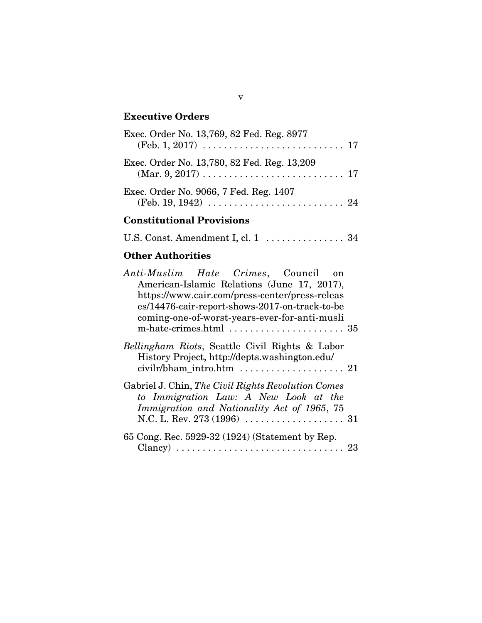# **Executive Orders**

| <b>Other Authorities</b>                                                                                        |
|-----------------------------------------------------------------------------------------------------------------|
| U.S. Const. Amendment I, cl. 1 34                                                                               |
| <b>Constitutional Provisions</b>                                                                                |
| Exec. Order No. 9066, 7 Fed. Reg. 1407<br>$(Feb. 19, 1942) \ldots \ldots \ldots \ldots \ldots \ldots \ldots 24$ |
| Exec. Order No. 13,780, 82 Fed. Reg. 13,209                                                                     |
| Exec. Order No. 13,769, 82 Fed. Reg. 8977                                                                       |

| Anti-Muslim Hate Crimes, Council on<br>American-Islamic Relations (June 17, 2017),<br>https://www.cair.com/press-center/press-releas<br>es/14476-cair-report-shows-2017-on-track-to-be<br>coming-one-of-worst-years-ever-for-anti-musli |  |
|-----------------------------------------------------------------------------------------------------------------------------------------------------------------------------------------------------------------------------------------|--|
| Bellingham Riots, Seattle Civil Rights & Labor<br>History Project, http://depts.washington.edu/                                                                                                                                         |  |
| Gabriel J. Chin, The Civil Rights Revolution Comes<br>to Immigration Law: A New Look at the<br>Immigration and Nationality Act of 1965, 75                                                                                              |  |
| 65 Cong. Rec. 5929-32 (1924) (Statement by Rep.<br>Clancy) $\ldots \ldots \ldots \ldots \ldots \ldots \ldots \ldots \ldots \ldots 23$                                                                                                   |  |

#### v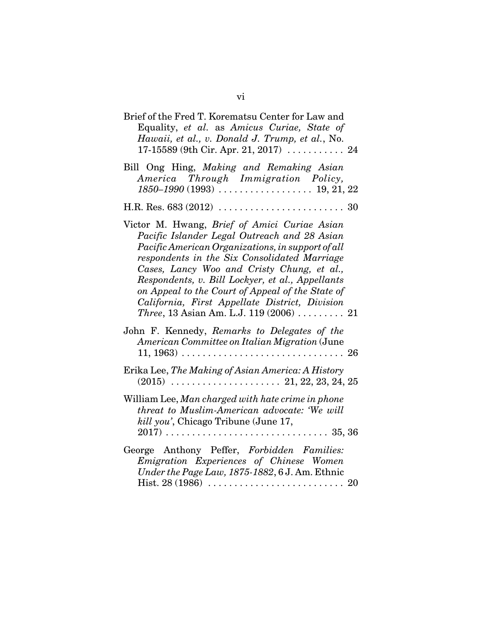| Brief of the Fred T. Korematsu Center for Law and<br>Equality, et al. as Amicus Curiae, State of<br>Hawaii, et al., v. Donald J. Trump, et al., No.<br>17-15589 (9th Cir. Apr. 21, 2017) $\ldots$ 24                                                                                                                                                                                                                                                                 |
|----------------------------------------------------------------------------------------------------------------------------------------------------------------------------------------------------------------------------------------------------------------------------------------------------------------------------------------------------------------------------------------------------------------------------------------------------------------------|
| Bill Ong Hing, Making and Remaking Asian<br>America Through Immigration Policy,                                                                                                                                                                                                                                                                                                                                                                                      |
|                                                                                                                                                                                                                                                                                                                                                                                                                                                                      |
| Victor M. Hwang, Brief of Amici Curiae Asian<br>Pacific Islander Legal Outreach and 28 Asian<br>Pacific American Organizations, in support of all<br>respondents in the Six Consolidated Marriage<br>Cases, Lancy Woo and Cristy Chung, et al.,<br>Respondents, v. Bill Lockyer, et al., Appellants<br>on Appeal to the Court of Appeal of the State of<br>California, First Appellate District, Division<br><i>Three</i> , 13 Asian Am. L.J. 119 (2006) $\ldots$ 21 |
| John F. Kennedy, Remarks to Delegates of the<br>American Committee on Italian Migration (June<br>$11, 1963) \ldots \ldots \ldots \ldots \ldots \ldots \ldots \ldots \ldots \ldots \ldots 26$                                                                                                                                                                                                                                                                         |
| Erika Lee, The Making of Asian America: A History                                                                                                                                                                                                                                                                                                                                                                                                                    |
| William Lee, Man charged with hate crime in phone<br>threat to Muslim-American advocate: 'We will<br>kill you', Chicago Tribune (June 17,                                                                                                                                                                                                                                                                                                                            |
| George Anthony Peffer, Forbidden Families:<br>Emigration Experiences of Chinese Women<br>Under the Page Law, 1875-1882, 6 J. Am. Ethnic                                                                                                                                                                                                                                                                                                                              |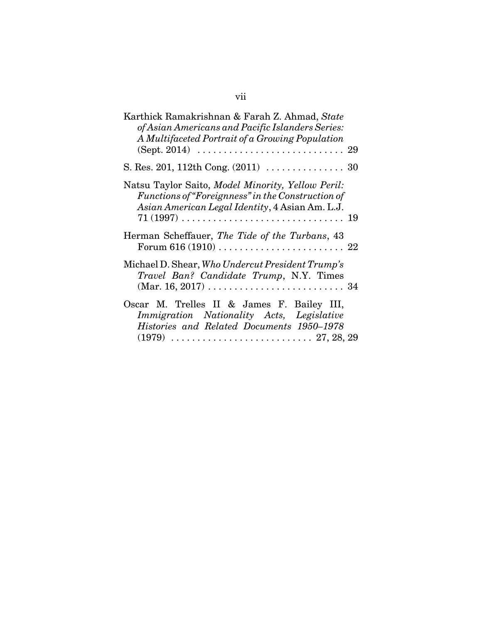| Karthick Ramakrishnan & Farah Z. Ahmad, State<br>of Asian Americans and Pacific Islanders Series:<br>A Multifaceted Portrait of a Growing Population                                                                                              |
|---------------------------------------------------------------------------------------------------------------------------------------------------------------------------------------------------------------------------------------------------|
|                                                                                                                                                                                                                                                   |
| Natsu Taylor Saito, Model Minority, Yellow Peril:<br>Functions of "Foreignness" in the Construction of<br>Asian American Legal Identity, 4 Asian Am. L.J.<br>$71\,(1997)\,\ldots\ldots\ldots\ldots\ldots\ldots\ldots\ldots\ldots\ldots\ldots\ 19$ |
| Herman Scheffauer, The Tide of the Turbans, 43                                                                                                                                                                                                    |
| Michael D. Shear, Who Undercut President Trump's<br>Travel Ban? Candidate Trump, N.Y. Times                                                                                                                                                       |
| Oscar M. Trelles II & James F. Bailey III,<br>Immigration Nationality Acts, Legislative<br>Histories and Related Documents 1950–1978                                                                                                              |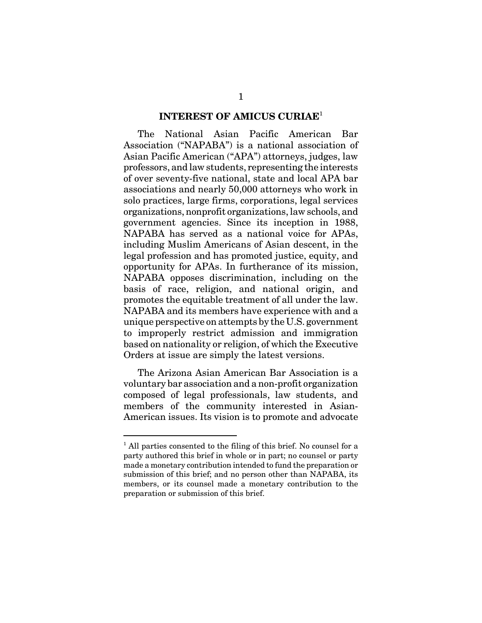#### **INTEREST OF AMICUS CURIAE**<sup>1</sup>

The National Asian Pacific American Bar Association ("NAPABA") is a national association of Asian Pacific American ("APA") attorneys, judges, law professors, and law students, representing the interests of over seventy-five national, state and local APA bar associations and nearly 50,000 attorneys who work in solo practices, large firms, corporations, legal services organizations, nonprofit organizations, law schools, and government agencies. Since its inception in 1988, NAPABA has served as a national voice for APAs, including Muslim Americans of Asian descent, in the legal profession and has promoted justice, equity, and opportunity for APAs. In furtherance of its mission, NAPABA opposes discrimination, including on the basis of race, religion, and national origin, and promotes the equitable treatment of all under the law. NAPABA and its members have experience with and a unique perspective on attempts by the U.S. government to improperly restrict admission and immigration based on nationality or religion, of which the Executive Orders at issue are simply the latest versions.

The Arizona Asian American Bar Association is a voluntary bar association and a non-profit organization composed of legal professionals, law students, and members of the community interested in Asian-American issues. Its vision is to promote and advocate

<sup>&</sup>lt;sup>1</sup> All parties consented to the filing of this brief. No counsel for a party authored this brief in whole or in part; no counsel or party made a monetary contribution intended to fund the preparation or submission of this brief; and no person other than NAPABA, its members, or its counsel made a monetary contribution to the preparation or submission of this brief.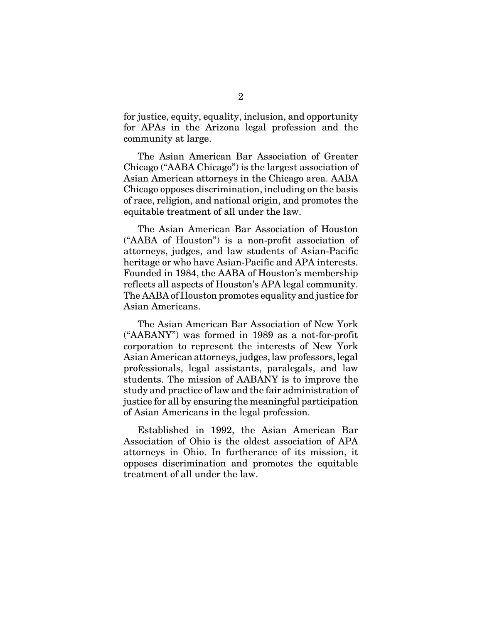for justice, equity, equality, inclusion, and opportunity for APAs in the Arizona legal profession and the community at large.

The Asian American Bar Association of Greater Chicago ("AABA Chicago") is the largest association of Asian American attorneys in the Chicago area. AABA Chicago opposes discrimination, including on the basis of race, religion, and national origin, and promotes the equitable treatment of all under the law.

The Asian American Bar Association of Houston ("AABA of Houston") is a non-profit association of attorneys, judges, and law students of Asian-Pacific heritage or who have Asian-Pacific and APA interests. Founded in 1984, the AABA of Houston's membership reflects all aspects of Houston's APA legal community. The AABA of Houston promotes equality and justice for Asian Americans.

The Asian American Bar Association of New York ("AABANY") was formed in 1989 as a not-for-profit corporation to represent the interests of New York Asian American attorneys, judges, law professors, legal professionals, legal assistants, paralegals, and law students. The mission of AABANY is to improve the study and practice of law and the fair administration of justice for all by ensuring the meaningful participation of Asian Americans in the legal profession.

Established in 1992, the Asian American Bar Association of Ohio is the oldest association of APA attorneys in Ohio. In furtherance of its mission, it opposes discrimination and promotes the equitable treatment of all under the law.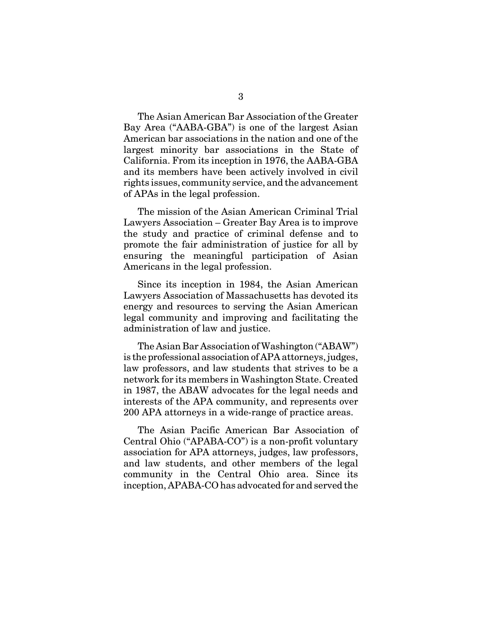The Asian American Bar Association of the Greater Bay Area ("AABA-GBA") is one of the largest Asian American bar associations in the nation and one of the largest minority bar associations in the State of California. From its inception in 1976, the AABA-GBA and its members have been actively involved in civil rights issues, community service, and the advancement of APAs in the legal profession.

The mission of the Asian American Criminal Trial Lawyers Association – Greater Bay Area is to improve the study and practice of criminal defense and to promote the fair administration of justice for all by ensuring the meaningful participation of Asian Americans in the legal profession.

Since its inception in 1984, the Asian American Lawyers Association of Massachusetts has devoted its energy and resources to serving the Asian American legal community and improving and facilitating the administration of law and justice.

The Asian Bar Association of Washington ("ABAW") is the professional association of APA attorneys, judges, law professors, and law students that strives to be a network for its members in Washington State. Created in 1987, the ABAW advocates for the legal needs and interests of the APA community, and represents over 200 APA attorneys in a wide-range of practice areas.

The Asian Pacific American Bar Association of Central Ohio ("APABA-CO") is a non-profit voluntary association for APA attorneys, judges, law professors, and law students, and other members of the legal community in the Central Ohio area. Since its inception, APABA-CO has advocated for and served the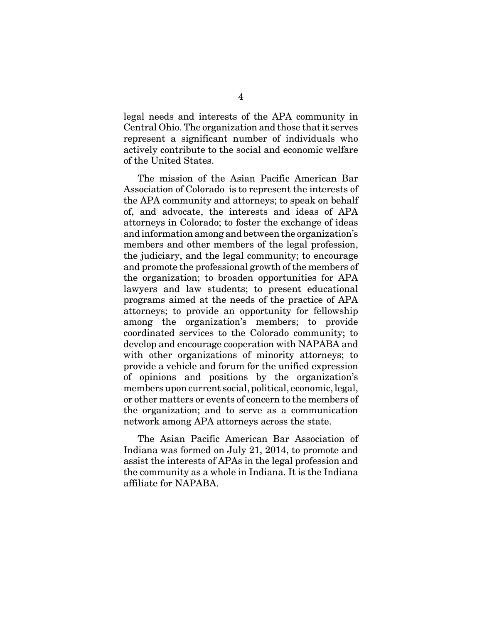legal needs and interests of the APA community in Central Ohio. The organization and those that it serves represent a significant number of individuals who actively contribute to the social and economic welfare of the United States.

The mission of the Asian Pacific American Bar Association of Colorado is to represent the interests of the APA community and attorneys; to speak on behalf of, and advocate, the interests and ideas of APA attorneys in Colorado; to foster the exchange of ideas and information among and between the organization's members and other members of the legal profession, the judiciary, and the legal community; to encourage and promote the professional growth of the members of the organization; to broaden opportunities for APA lawyers and law students; to present educational programs aimed at the needs of the practice of APA attorneys; to provide an opportunity for fellowship among the organization's members; to provide coordinated services to the Colorado community; to develop and encourage cooperation with NAPABA and with other organizations of minority attorneys; to provide a vehicle and forum for the unified expression of opinions and positions by the organization's members upon current social, political, economic, legal, or other matters or events of concern to the members of the organization; and to serve as a communication network among APA attorneys across the state.

The Asian Pacific American Bar Association of Indiana was formed on July 21, 2014, to promote and assist the interests of APAs in the legal profession and the community as a whole in Indiana. It is the Indiana affiliate for NAPABA.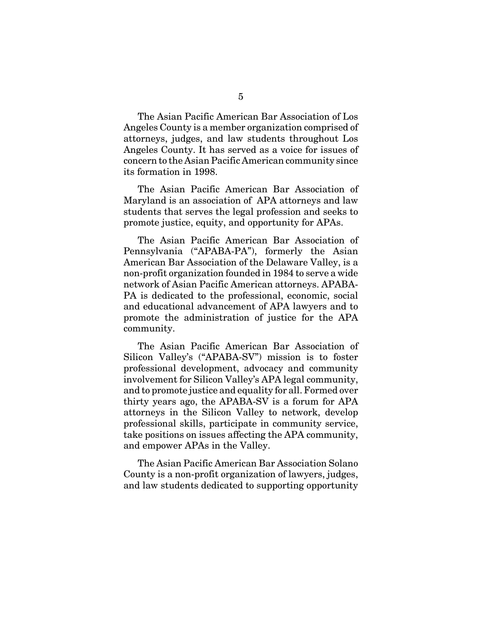The Asian Pacific American Bar Association of Los Angeles County is a member organization comprised of attorneys, judges, and law students throughout Los Angeles County. It has served as a voice for issues of concern to the Asian Pacific American community since its formation in 1998.

The Asian Pacific American Bar Association of Maryland is an association of APA attorneys and law students that serves the legal profession and seeks to promote justice, equity, and opportunity for APAs.

The Asian Pacific American Bar Association of Pennsylvania ("APABA-PA"), formerly the Asian American Bar Association of the Delaware Valley, is a non-profit organization founded in 1984 to serve a wide network of Asian Pacific American attorneys. APABA-PA is dedicated to the professional, economic, social and educational advancement of APA lawyers and to promote the administration of justice for the APA community.

The Asian Pacific American Bar Association of Silicon Valley's ("APABA-SV") mission is to foster professional development, advocacy and community involvement for Silicon Valley's APA legal community, and to promote justice and equality for all. Formed over thirty years ago, the APABA-SV is a forum for APA attorneys in the Silicon Valley to network, develop professional skills, participate in community service, take positions on issues affecting the APA community, and empower APAs in the Valley.

The Asian Pacific American Bar Association Solano County is a non-profit organization of lawyers, judges, and law students dedicated to supporting opportunity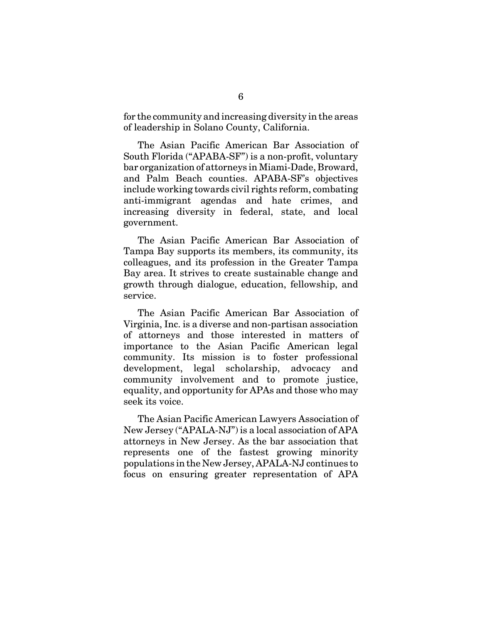for the community and increasing diversity in the areas of leadership in Solano County, California.

The Asian Pacific American Bar Association of South Florida ("APABA-SF") is a non-profit, voluntary bar organization of attorneys in Miami-Dade, Broward, and Palm Beach counties. APABA-SF's objectives include working towards civil rights reform, combating anti-immigrant agendas and hate crimes, and increasing diversity in federal, state, and local government.

The Asian Pacific American Bar Association of Tampa Bay supports its members, its community, its colleagues, and its profession in the Greater Tampa Bay area. It strives to create sustainable change and growth through dialogue, education, fellowship, and service.

The Asian Pacific American Bar Association of Virginia, Inc. is a diverse and non-partisan association of attorneys and those interested in matters of importance to the Asian Pacific American legal community. Its mission is to foster professional development, legal scholarship, advocacy and community involvement and to promote justice, equality, and opportunity for APAs and those who may seek its voice.

The Asian Pacific American Lawyers Association of New Jersey ("APALA-NJ") is a local association of APA attorneys in New Jersey. As the bar association that represents one of the fastest growing minority populations in the New Jersey, APALA-NJ continues to focus on ensuring greater representation of APA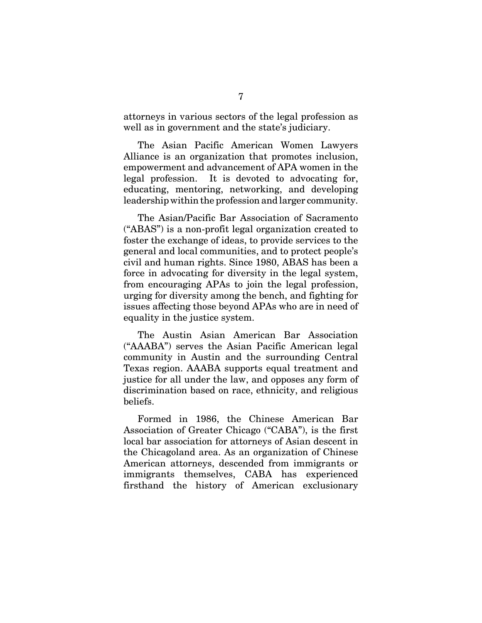attorneys in various sectors of the legal profession as well as in government and the state's judiciary.

The Asian Pacific American Women Lawyers Alliance is an organization that promotes inclusion, empowerment and advancement of APA women in the legal profession. It is devoted to advocating for, educating, mentoring, networking, and developing leadership within the profession and larger community.

The Asian/Pacific Bar Association of Sacramento ("ABAS") is a non-profit legal organization created to foster the exchange of ideas, to provide services to the general and local communities, and to protect people's civil and human rights. Since 1980, ABAS has been a force in advocating for diversity in the legal system, from encouraging APAs to join the legal profession, urging for diversity among the bench, and fighting for issues affecting those beyond APAs who are in need of equality in the justice system.

The Austin Asian American Bar Association ("AAABA") serves the Asian Pacific American legal community in Austin and the surrounding Central Texas region. AAABA supports equal treatment and justice for all under the law, and opposes any form of discrimination based on race, ethnicity, and religious beliefs.

Formed in 1986, the Chinese American Bar Association of Greater Chicago ("CABA"), is the first local bar association for attorneys of Asian descent in the Chicagoland area. As an organization of Chinese American attorneys, descended from immigrants or immigrants themselves, CABA has experienced firsthand the history of American exclusionary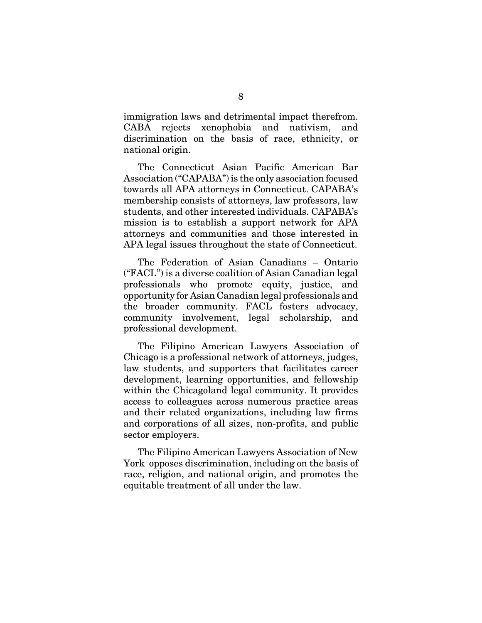immigration laws and detrimental impact therefrom. CABA rejects xenophobia and nativism, and discrimination on the basis of race, ethnicity, or national origin.

The Connecticut Asian Pacific American Bar Association ("CAPABA") is the only association focused towards all APA attorneys in Connecticut. CAPABA's membership consists of attorneys, law professors, law students, and other interested individuals. CAPABA's mission is to establish a support network for APA attorneys and communities and those interested in APA legal issues throughout the state of Connecticut.

The Federation of Asian Canadians – Ontario ("FACL") is a diverse coalition of Asian Canadian legal professionals who promote equity, justice, and opportunity for Asian Canadian legal professionals and the broader community. FACL fosters advocacy, community involvement, legal scholarship, and professional development.

The Filipino American Lawyers Association of Chicago is a professional network of attorneys, judges, law students, and supporters that facilitates career development, learning opportunities, and fellowship within the Chicagoland legal community. It provides access to colleagues across numerous practice areas and their related organizations, including law firms and corporations of all sizes, non-profits, and public sector employers.

The Filipino American Lawyers Association of New York opposes discrimination, including on the basis of race, religion, and national origin, and promotes the equitable treatment of all under the law.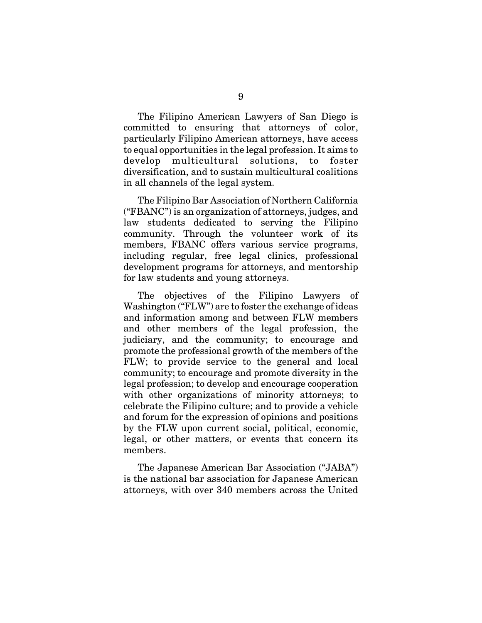The Filipino American Lawyers of San Diego is committed to ensuring that attorneys of color, particularly Filipino American attorneys, have access to equal opportunities in the legal profession. It aims to develop multicultural solutions, to foster diversification, and to sustain multicultural coalitions in all channels of the legal system.

The Filipino Bar Association of Northern California ("FBANC") is an organization of attorneys, judges, and law students dedicated to serving the Filipino community. Through the volunteer work of its members, FBANC offers various service programs, including regular, free legal clinics, professional development programs for attorneys, and mentorship for law students and young attorneys.

The objectives of the Filipino Lawyers of Washington ("FLW") are to foster the exchange of ideas and information among and between FLW members and other members of the legal profession, the judiciary, and the community; to encourage and promote the professional growth of the members of the FLW; to provide service to the general and local community; to encourage and promote diversity in the legal profession; to develop and encourage cooperation with other organizations of minority attorneys; to celebrate the Filipino culture; and to provide a vehicle and forum for the expression of opinions and positions by the FLW upon current social, political, economic, legal, or other matters, or events that concern its members.

The Japanese American Bar Association ("JABA") is the national bar association for Japanese American attorneys, with over 340 members across the United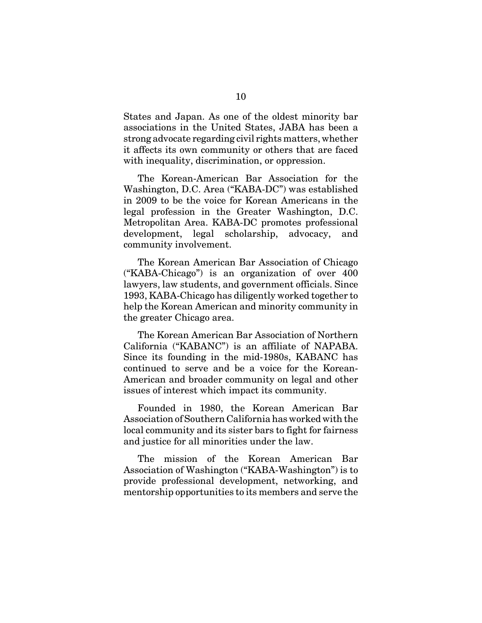States and Japan. As one of the oldest minority bar associations in the United States, JABA has been a strong advocate regarding civil rights matters, whether it affects its own community or others that are faced with inequality, discrimination, or oppression.

The Korean-American Bar Association for the Washington, D.C. Area ("KABA-DC") was established in 2009 to be the voice for Korean Americans in the legal profession in the Greater Washington, D.C. Metropolitan Area. KABA-DC promotes professional development, legal scholarship, advocacy, and community involvement.

The Korean American Bar Association of Chicago ("KABA-Chicago") is an organization of over 400 lawyers, law students, and government officials. Since 1993, KABA-Chicago has diligently worked together to help the Korean American and minority community in the greater Chicago area.

The Korean American Bar Association of Northern California ("KABANC") is an affiliate of NAPABA. Since its founding in the mid-1980s, KABANC has continued to serve and be a voice for the Korean-American and broader community on legal and other issues of interest which impact its community.

Founded in 1980, the Korean American Bar Association of Southern California has worked with the local community and its sister bars to fight for fairness and justice for all minorities under the law.

The mission of the Korean American Bar Association of Washington ("KABA-Washington") is to provide professional development, networking, and mentorship opportunities to its members and serve the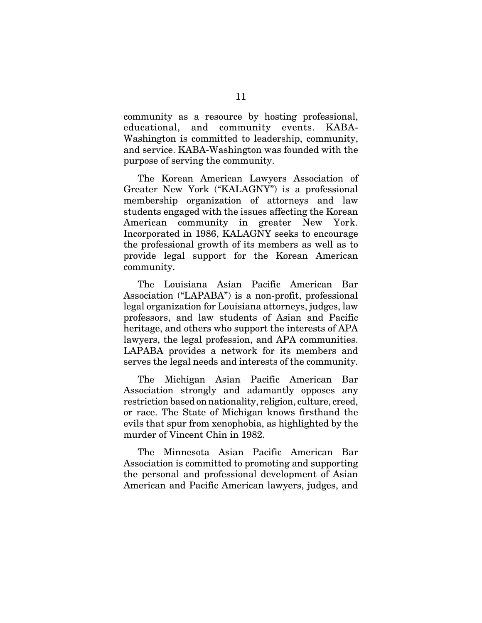community as a resource by hosting professional, educational, and community events. KABA-Washington is committed to leadership, community, and service. KABA-Washington was founded with the purpose of serving the community.

The Korean American Lawyers Association of Greater New York ("KALAGNY") is a professional membership organization of attorneys and law students engaged with the issues affecting the Korean American community in greater New York. Incorporated in 1986, KALAGNY seeks to encourage the professional growth of its members as well as to provide legal support for the Korean American community.

The Louisiana Asian Pacific American Bar Association ("LAPABA") is a non-profit, professional legal organization for Louisiana attorneys, judges, law professors, and law students of Asian and Pacific heritage, and others who support the interests of APA lawyers, the legal profession, and APA communities. LAPABA provides a network for its members and serves the legal needs and interests of the community.

The Michigan Asian Pacific American Bar Association strongly and adamantly opposes any restriction based on nationality, religion, culture, creed, or race. The State of Michigan knows firsthand the evils that spur from xenophobia, as highlighted by the murder of Vincent Chin in 1982.

The Minnesota Asian Pacific American Bar Association is committed to promoting and supporting the personal and professional development of Asian American and Pacific American lawyers, judges, and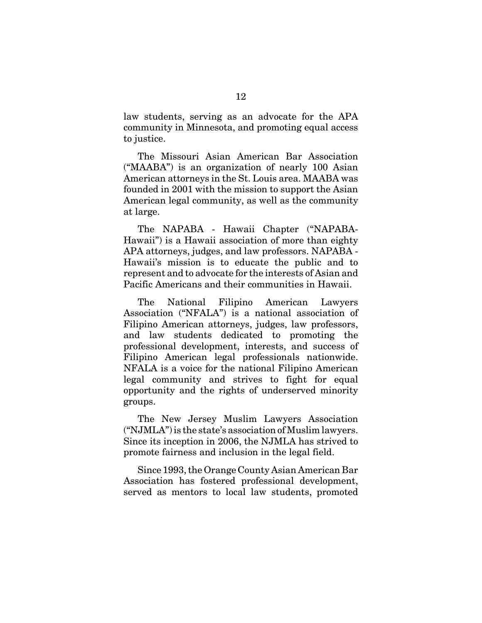law students, serving as an advocate for the APA community in Minnesota, and promoting equal access to justice.

The Missouri Asian American Bar Association ("MAABA") is an organization of nearly 100 Asian American attorneys in the St. Louis area. MAABA was founded in 2001 with the mission to support the Asian American legal community, as well as the community at large.

The NAPABA - Hawaii Chapter ("NAPABA-Hawaii") is a Hawaii association of more than eighty APA attorneys, judges, and law professors. NAPABA - Hawaii's mission is to educate the public and to represent and to advocate for the interests of Asian and Pacific Americans and their communities in Hawaii.

The National Filipino American Lawyers Association ("NFALA") is a national association of Filipino American attorneys, judges, law professors, and law students dedicated to promoting the professional development, interests, and success of Filipino American legal professionals nationwide. NFALA is a voice for the national Filipino American legal community and strives to fight for equal opportunity and the rights of underserved minority groups.

The New Jersey Muslim Lawyers Association ("NJMLA") is the state's association of Muslim lawyers. Since its inception in 2006, the NJMLA has strived to promote fairness and inclusion in the legal field.

Since 1993, the Orange County Asian American Bar Association has fostered professional development, served as mentors to local law students, promoted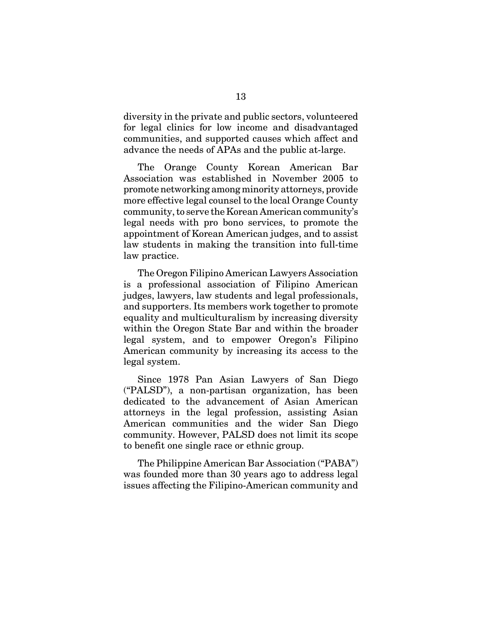diversity in the private and public sectors, volunteered for legal clinics for low income and disadvantaged communities, and supported causes which affect and advance the needs of APAs and the public at-large.

The Orange County Korean American Bar Association was established in November 2005 to promote networking among minority attorneys, provide more effective legal counsel to the local Orange County community, to serve the Korean American community's legal needs with pro bono services, to promote the appointment of Korean American judges, and to assist law students in making the transition into full-time law practice.

The Oregon Filipino American Lawyers Association is a professional association of Filipino American judges, lawyers, law students and legal professionals, and supporters. Its members work together to promote equality and multiculturalism by increasing diversity within the Oregon State Bar and within the broader legal system, and to empower Oregon's Filipino American community by increasing its access to the legal system.

Since 1978 Pan Asian Lawyers of San Diego ("PALSD"), a non-partisan organization, has been dedicated to the advancement of Asian American attorneys in the legal profession, assisting Asian American communities and the wider San Diego community. However, PALSD does not limit its scope to benefit one single race or ethnic group.

The Philippine American Bar Association ("PABA") was founded more than 30 years ago to address legal issues affecting the Filipino-American community and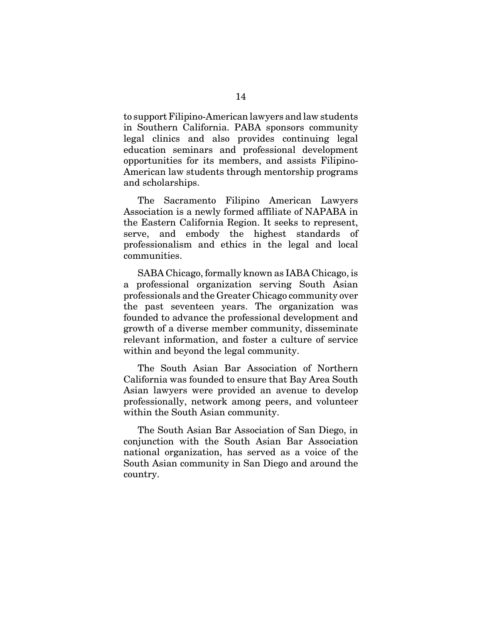to support Filipino-American lawyers and law students in Southern California. PABA sponsors community legal clinics and also provides continuing legal education seminars and professional development opportunities for its members, and assists Filipino-American law students through mentorship programs and scholarships.

The Sacramento Filipino American Lawyers Association is a newly formed affiliate of NAPABA in the Eastern California Region. It seeks to represent, serve, and embody the highest standards of professionalism and ethics in the legal and local communities.

SABA Chicago, formally known as IABA Chicago, is a professional organization serving South Asian professionals and the Greater Chicago community over the past seventeen years. The organization was founded to advance the professional development and growth of a diverse member community, disseminate relevant information, and foster a culture of service within and beyond the legal community.

The South Asian Bar Association of Northern California was founded to ensure that Bay Area South Asian lawyers were provided an avenue to develop professionally, network among peers, and volunteer within the South Asian community.

The South Asian Bar Association of San Diego, in conjunction with the South Asian Bar Association national organization, has served as a voice of the South Asian community in San Diego and around the country.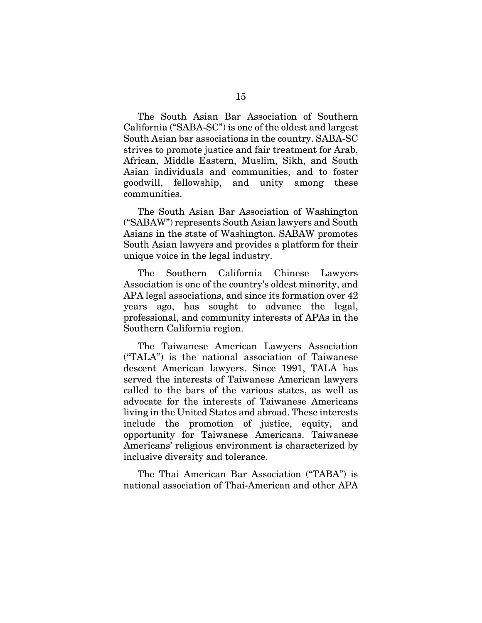The South Asian Bar Association of Southern California ("SABA-SC") is one of the oldest and largest South Asian bar associations in the country. SABA-SC strives to promote justice and fair treatment for Arab, African, Middle Eastern, Muslim, Sikh, and South Asian individuals and communities, and to foster goodwill, fellowship, and unity among these communities.

The South Asian Bar Association of Washington ("SABAW") represents South Asian lawyers and South Asians in the state of Washington. SABAW promotes South Asian lawyers and provides a platform for their unique voice in the legal industry.

The Southern California Chinese Lawyers Association is one of the country's oldest minority, and APA legal associations, and since its formation over 42 years ago, has sought to advance the legal, professional, and community interests of APAs in the Southern California region.

The Taiwanese American Lawyers Association ("TALA") is the national association of Taiwanese descent American lawyers. Since 1991, TALA has served the interests of Taiwanese American lawyers called to the bars of the various states, as well as advocate for the interests of Taiwanese Americans living in the United States and abroad. These interests include the promotion of justice, equity, and opportunity for Taiwanese Americans. Taiwanese Americans' religious environment is characterized by inclusive diversity and tolerance.

The Thai American Bar Association ("TABA") is national association of Thai-American and other APA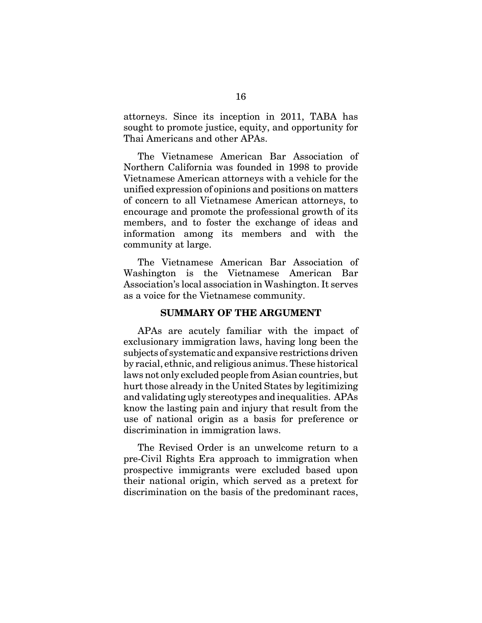attorneys. Since its inception in 2011, TABA has sought to promote justice, equity, and opportunity for Thai Americans and other APAs.

The Vietnamese American Bar Association of Northern California was founded in 1998 to provide Vietnamese American attorneys with a vehicle for the unified expression of opinions and positions on matters of concern to all Vietnamese American attorneys, to encourage and promote the professional growth of its members, and to foster the exchange of ideas and information among its members and with the community at large.

The Vietnamese American Bar Association of Washington is the Vietnamese American Bar Association's local association in Washington. It serves as a voice for the Vietnamese community.

### **SUMMARY OF THE ARGUMENT**

APAs are acutely familiar with the impact of exclusionary immigration laws, having long been the subjects of systematic and expansive restrictions driven by racial, ethnic, and religious animus. These historical laws not only excluded people from Asian countries, but hurt those already in the United States by legitimizing and validating ugly stereotypes and inequalities. APAs know the lasting pain and injury that result from the use of national origin as a basis for preference or discrimination in immigration laws.

The Revised Order is an unwelcome return to a pre-Civil Rights Era approach to immigration when prospective immigrants were excluded based upon their national origin, which served as a pretext for discrimination on the basis of the predominant races,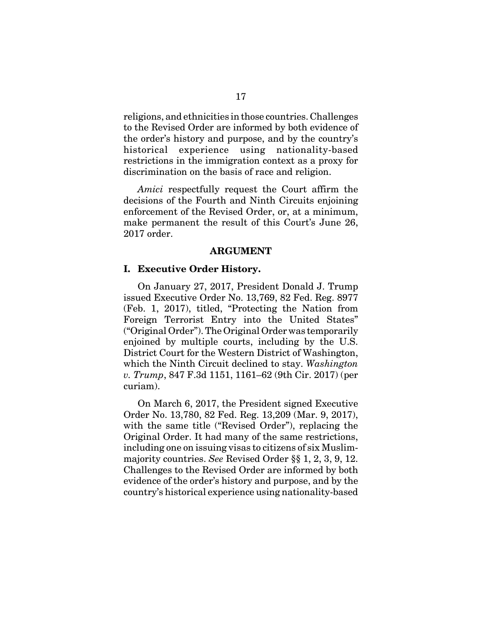religions, and ethnicities in those countries. Challenges to the Revised Order are informed by both evidence of the order's history and purpose, and by the country's historical experience using nationality-based restrictions in the immigration context as a proxy for discrimination on the basis of race and religion.

*Amici* respectfully request the Court affirm the decisions of the Fourth and Ninth Circuits enjoining enforcement of the Revised Order, or, at a minimum, make permanent the result of this Court's June 26, 2017 order.

#### **ARGUMENT**

#### **I. Executive Order History.**

On January 27, 2017, President Donald J. Trump issued Executive Order No. 13,769, 82 Fed. Reg. 8977 (Feb. 1, 2017), titled, "Protecting the Nation from Foreign Terrorist Entry into the United States" ("Original Order"). The Original Order was temporarily enjoined by multiple courts, including by the U.S. District Court for the Western District of Washington, which the Ninth Circuit declined to stay. *Washington v. Trump*, 847 F.3d 1151, 1161–62 (9th Cir. 2017) (per curiam).

On March 6, 2017, the President signed Executive Order No. 13,780, 82 Fed. Reg. 13,209 (Mar. 9, 2017), with the same title ("Revised Order"), replacing the Original Order. It had many of the same restrictions, including one on issuing visas to citizens of six Muslimmajority countries. *See* Revised Order §§ 1, 2, 3, 9, 12. Challenges to the Revised Order are informed by both evidence of the order's history and purpose, and by the country's historical experience using nationality-based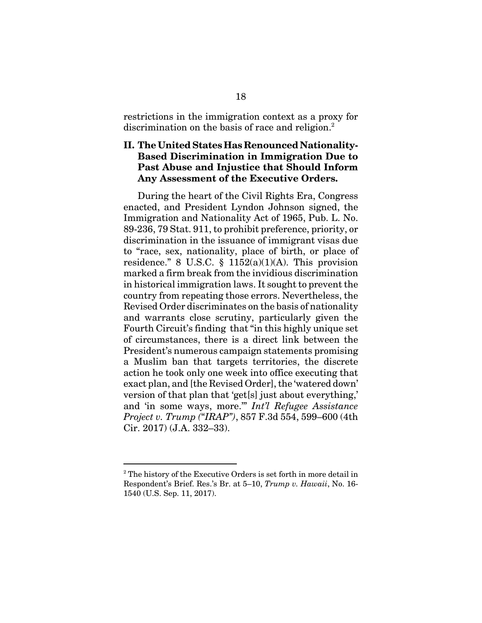restrictions in the immigration context as a proxy for discrimination on the basis of race and religion.<sup>2</sup>

## **II. The United States Has Renounced Nationality-Based Discrimination in Immigration Due to Past Abuse and Injustice that Should Inform Any Assessment of the Executive Orders.**

During the heart of the Civil Rights Era, Congress enacted, and President Lyndon Johnson signed, the Immigration and Nationality Act of 1965, Pub. L. No. 89-236, 79 Stat. 911, to prohibit preference, priority, or discrimination in the issuance of immigrant visas due to "race, sex, nationality, place of birth, or place of residence." 8 U.S.C.  $\S$  1152(a)(1)(A). This provision marked a firm break from the invidious discrimination in historical immigration laws. It sought to prevent the country from repeating those errors. Nevertheless, the Revised Order discriminates on the basis of nationality and warrants close scrutiny, particularly given the Fourth Circuit's finding that "in this highly unique set of circumstances, there is a direct link between the President's numerous campaign statements promising a Muslim ban that targets territories, the discrete action he took only one week into office executing that exact plan, and [the Revised Order], the 'watered down' version of that plan that 'get[s] just about everything,' and 'in some ways, more.'" *Int'l Refugee Assistance Project v. Trump ("IRAP")*, 857 F.3d 554, 599–600 (4th Cir. 2017) (J.A. 332–33).

<sup>&</sup>lt;sup>2</sup> The history of the Executive Orders is set forth in more detail in Respondent's Brief. Res.'s Br. at 5–10, *Trump v. Hawaii*, No. 16- 1540 (U.S. Sep. 11, 2017).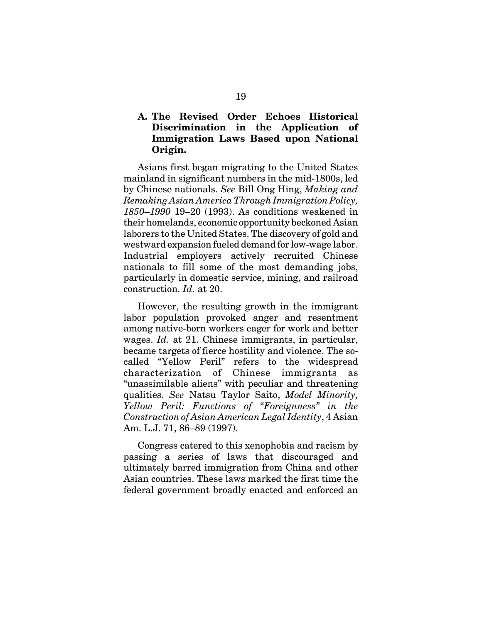## **A. The Revised Order Echoes Historical Discrimination in the Application of Immigration Laws Based upon National Origin.**

Asians first began migrating to the United States mainland in significant numbers in the mid-1800s, led by Chinese nationals. *See* Bill Ong Hing, *Making and Remaking Asian America Through Immigration Policy, 1850*–*1990* 19–20 (1993). As conditions weakened in their homelands, economic opportunity beckoned Asian laborers to the United States. The discovery of gold and westward expansion fueled demand for low-wage labor. Industrial employers actively recruited Chinese nationals to fill some of the most demanding jobs, particularly in domestic service, mining, and railroad construction. *Id.* at 20.

However, the resulting growth in the immigrant labor population provoked anger and resentment among native-born workers eager for work and better wages. *Id.* at 21. Chinese immigrants, in particular, became targets of fierce hostility and violence. The socalled "Yellow Peril" refers to the widespread characterization of Chinese immigrants as "unassimilable aliens" with peculiar and threatening qualities. *See* Natsu Taylor Saito, *Model Minority, Yellow Peril: Functions of "Foreignness" in the Construction of Asian American Legal Identity*, 4 Asian Am. L.J. 71, 86–89 (1997).

Congress catered to this xenophobia and racism by passing a series of laws that discouraged and ultimately barred immigration from China and other Asian countries. These laws marked the first time the federal government broadly enacted and enforced an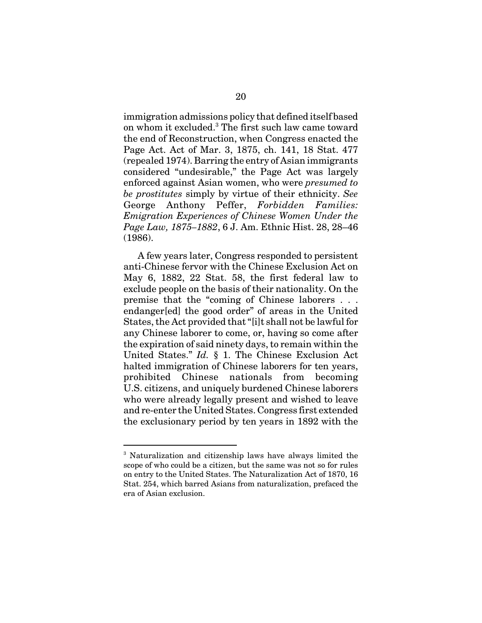immigration admissions policy that defined itself based on whom it excluded.<sup>3</sup> The first such law came toward the end of Reconstruction, when Congress enacted the Page Act. Act of Mar. 3, 1875, ch. 141, 18 Stat. 477 (repealed 1974). Barring the entry of Asian immigrants considered "undesirable," the Page Act was largely enforced against Asian women, who were *presumed to be prostitutes* simply by virtue of their ethnicity. *See* George Anthony Peffer, *Forbidden Families: Emigration Experiences of Chinese Women Under the Page Law, 1875–1882*, 6 J. Am. Ethnic Hist. 28, 28–46 (1986).

A few years later, Congress responded to persistent anti-Chinese fervor with the Chinese Exclusion Act on May 6, 1882, 22 Stat. 58, the first federal law to exclude people on the basis of their nationality. On the premise that the "coming of Chinese laborers . . . endanger[ed] the good order" of areas in the United States, the Act provided that "[i]t shall not be lawful for any Chinese laborer to come, or, having so come after the expiration of said ninety days, to remain within the United States." *Id.* § 1. The Chinese Exclusion Act halted immigration of Chinese laborers for ten years, prohibited Chinese nationals from becoming U.S. citizens, and uniquely burdened Chinese laborers who were already legally present and wished to leave and re-enter the United States. Congress first extended the exclusionary period by ten years in 1892 with the

<sup>&</sup>lt;sup>3</sup> Naturalization and citizenship laws have always limited the scope of who could be a citizen, but the same was not so for rules on entry to the United States. The Naturalization Act of 1870, 16 Stat. 254, which barred Asians from naturalization, prefaced the era of Asian exclusion.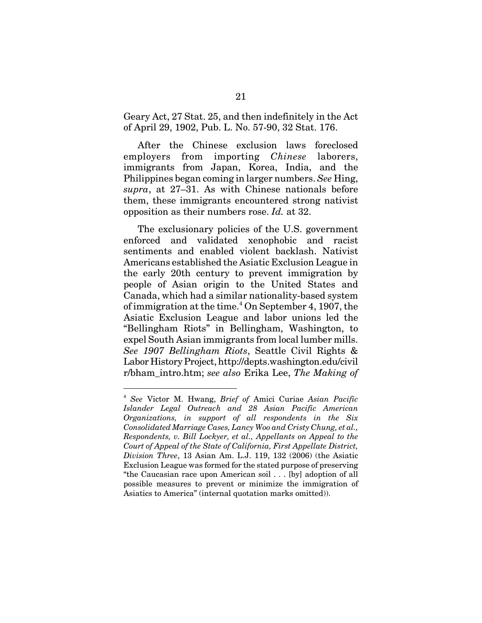Geary Act, 27 Stat. 25, and then indefinitely in the Act of April 29, 1902, Pub. L. No. 57-90, 32 Stat. 176.

After the Chinese exclusion laws foreclosed employers from importing *Chinese* laborers, immigrants from Japan, Korea, India, and the Philippines began coming in larger numbers. *See* Hing, *supra*, at 27–31. As with Chinese nationals before them, these immigrants encountered strong nativist opposition as their numbers rose. *Id.* at 32.

The exclusionary policies of the U.S. government enforced and validated xenophobic and racist sentiments and enabled violent backlash. Nativist Americans established the Asiatic Exclusion League in the early 20th century to prevent immigration by people of Asian origin to the United States and Canada, which had a similar nationality-based system of immigration at the time.<sup>4</sup> On September 4, 1907, the Asiatic Exclusion League and labor unions led the "Bellingham Riots" in Bellingham, Washington, to expel South Asian immigrants from local lumber mills. *See 1907 Bellingham Riots*, Seattle Civil Rights & Labor History Project, http://depts.washington.edu/civil r/bham\_intro.htm; *see also* Erika Lee, *The Making of*

<sup>4</sup> *See* Victor M. Hwang, *Brief of* Amici Curiae *Asian Pacific Islander Legal Outreach and 28 Asian Pacific American Organizations, in support of all respondents in the Six Consolidated Marriage Cases, Lancy Woo and Cristy Chung, et al., Respondents, v. Bill Lockyer, et al., Appellants on Appeal to the Court of Appeal of the State of California, First Appellate District, Division Three*, 13 Asian Am. L.J. 119, 132 (2006) (the Asiatic Exclusion League was formed for the stated purpose of preserving "the Caucasian race upon American soil . . . [by] adoption of all possible measures to prevent or minimize the immigration of Asiatics to America" (internal quotation marks omitted)).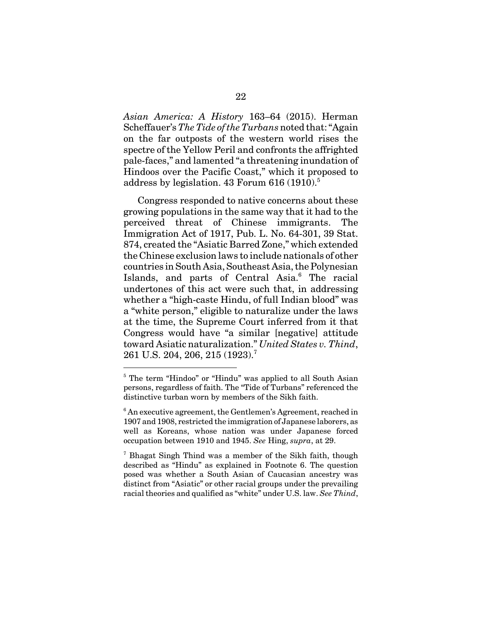*Asian America: A History* 163–64 (2015). Herman Scheffauer's *The Tide of the Turbans* noted that: "Again on the far outposts of the western world rises the spectre of the Yellow Peril and confronts the affrighted pale-faces," and lamented "a threatening inundation of Hindoos over the Pacific Coast," which it proposed to address by legislation.  $43$  Forum  $616$  (1910).<sup>5</sup>

Congress responded to native concerns about these growing populations in the same way that it had to the perceived threat of Chinese immigrants. The Immigration Act of 1917, Pub. L. No. 64-301, 39 Stat. 874, created the "Asiatic Barred Zone," which extended the Chinese exclusion laws to include nationals of other countries in South Asia, Southeast Asia, the Polynesian Islands, and parts of Central Asia.<sup>6</sup> The racial undertones of this act were such that, in addressing whether a "high-caste Hindu, of full Indian blood" was a "white person," eligible to naturalize under the laws at the time, the Supreme Court inferred from it that Congress would have "a similar [negative] attitude toward Asiatic naturalization." *United States v. Thind*, 261 U.S. 204, 206, 215 (1923).7

<sup>&</sup>lt;sup>5</sup> The term "Hindoo" or "Hindu" was applied to all South Asian persons, regardless of faith. The "Tide of Turbans" referenced the distinctive turban worn by members of the Sikh faith.

<sup>&</sup>lt;sup>6</sup> An executive agreement, the Gentlemen's Agreement, reached in 1907 and 1908, restricted the immigration of Japanese laborers, as well as Koreans, whose nation was under Japanese forced occupation between 1910 and 1945. *See* Hing, *supra*, at 29.

<sup>&</sup>lt;sup>7</sup> Bhagat Singh Thind was a member of the Sikh faith, though described as "Hindu" as explained in Footnote 6. The question posed was whether a South Asian of Caucasian ancestry was distinct from "Asiatic" or other racial groups under the prevailing racial theories and qualified as "white" under U.S. law. *See Thind*,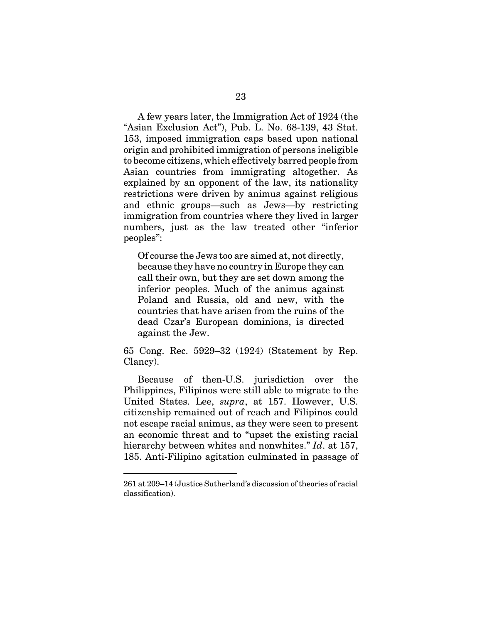A few years later, the Immigration Act of 1924 (the "Asian Exclusion Act"), Pub. L. No. 68-139, 43 Stat. 153, imposed immigration caps based upon national origin and prohibited immigration of persons ineligible to become citizens, which effectively barred people from Asian countries from immigrating altogether. As explained by an opponent of the law, its nationality restrictions were driven by animus against religious and ethnic groups—such as Jews—by restricting immigration from countries where they lived in larger numbers, just as the law treated other "inferior peoples":

Of course the Jews too are aimed at, not directly, because they have no country in Europe they can call their own, but they are set down among the inferior peoples. Much of the animus against Poland and Russia, old and new, with the countries that have arisen from the ruins of the dead Czar's European dominions, is directed against the Jew.

65 Cong. Rec. 5929–32 (1924) (Statement by Rep. Clancy).

Because of then-U.S. jurisdiction over the Philippines, Filipinos were still able to migrate to the United States. Lee, *supra*, at 157. However, U.S. citizenship remained out of reach and Filipinos could not escape racial animus, as they were seen to present an economic threat and to "upset the existing racial hierarchy between whites and nonwhites." *Id*. at 157, 185. Anti-Filipino agitation culminated in passage of

<sup>261</sup> at 209–14 (Justice Sutherland's discussion of theories of racial classification).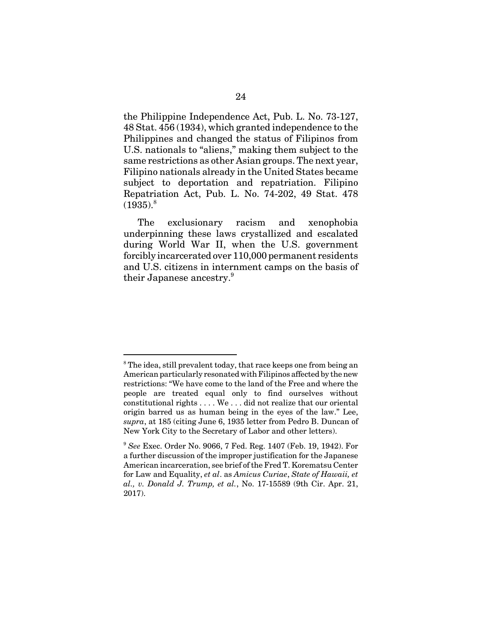the Philippine Independence Act, Pub. L. No. 73-127, 48 Stat. 456 (1934), which granted independence to the Philippines and changed the status of Filipinos from U.S. nationals to "aliens," making them subject to the same restrictions as other Asian groups. The next year, Filipino nationals already in the United States became subject to deportation and repatriation. Filipino Repatriation Act, Pub. L. No. 74-202, 49 Stat. 478  $(1935)^8$ 

The exclusionary racism and xenophobia underpinning these laws crystallized and escalated during World War II, when the U.S. government forcibly incarcerated over 110,000 permanent residents and U.S. citizens in internment camps on the basis of their Japanese ancestry.<sup>9</sup>

<sup>&</sup>lt;sup>8</sup> The idea, still prevalent today, that race keeps one from being an American particularly resonated with Filipinos affected by the new restrictions: "We have come to the land of the Free and where the people are treated equal only to find ourselves without constitutional rights . . . . We . . . did not realize that our oriental origin barred us as human being in the eyes of the law." Lee, *supra*, at 185 (citing June 6, 1935 letter from Pedro B. Duncan of New York City to the Secretary of Labor and other letters).

<sup>9</sup> *See* Exec. Order No. 9066, 7 Fed. Reg. 1407 (Feb. 19, 1942). For a further discussion of the improper justification for the Japanese American incarceration, see brief of the Fred T. Korematsu Center for Law and Equality, *et al*. as *Amicus Curiae*, *State of Hawaii, et al., v. Donald J. Trump, et al.*, No. 17-15589 (9th Cir. Apr. 21, 2017).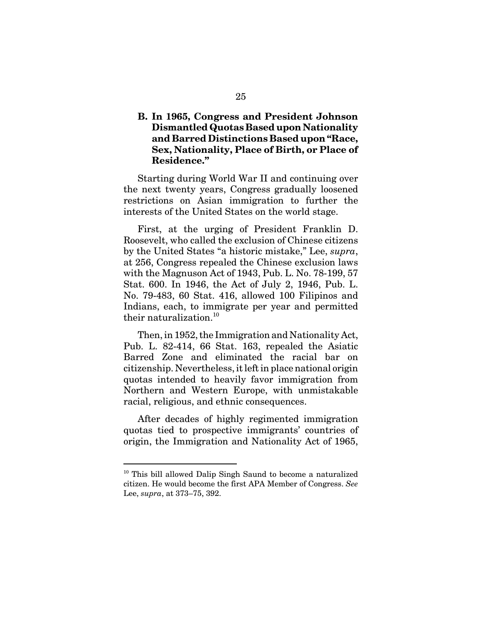## **B. In 1965, Congress and President Johnson Dismantled Quotas Based upon Nationality and Barred Distinctions Based upon "Race, Sex, Nationality, Place of Birth, or Place of Residence."**

Starting during World War II and continuing over the next twenty years, Congress gradually loosened restrictions on Asian immigration to further the interests of the United States on the world stage.

First, at the urging of President Franklin D. Roosevelt, who called the exclusion of Chinese citizens by the United States "a historic mistake," Lee, *supra*, at 256, Congress repealed the Chinese exclusion laws with the Magnuson Act of 1943, Pub. L. No. 78-199, 57 Stat. 600. In 1946, the Act of July 2, 1946, Pub. L. No. 79-483, 60 Stat. 416, allowed 100 Filipinos and Indians, each, to immigrate per year and permitted their naturalization. $^{10}$ 

Then, in 1952, the Immigration and Nationality Act, Pub. L. 82-414, 66 Stat. 163, repealed the Asiatic Barred Zone and eliminated the racial bar on citizenship. Nevertheless, it left in place national origin quotas intended to heavily favor immigration from Northern and Western Europe, with unmistakable racial, religious, and ethnic consequences.

After decades of highly regimented immigration quotas tied to prospective immigrants' countries of origin, the Immigration and Nationality Act of 1965,

<sup>&</sup>lt;sup>10</sup> This bill allowed Dalip Singh Saund to become a naturalized citizen. He would become the first APA Member of Congress. *See* Lee, *supra*, at 373–75, 392.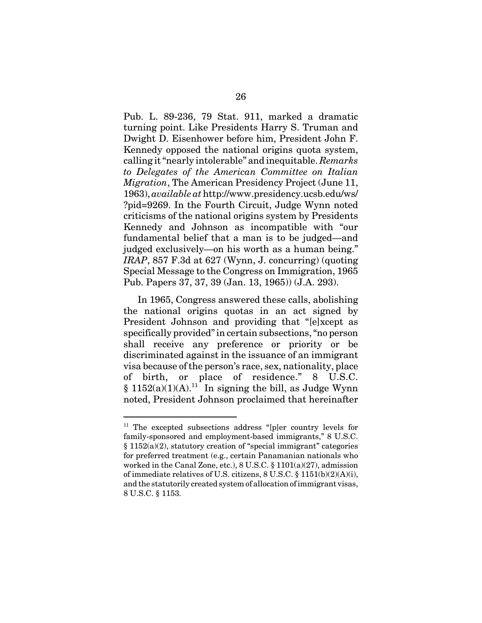Pub. L. 89-236, 79 Stat. 911, marked a dramatic turning point. Like Presidents Harry S. Truman and Dwight D. Eisenhower before him, President John F. Kennedy opposed the national origins quota system, calling it "nearly intolerable" and inequitable. *Remarks to Delegates of the American Committee on Italian Migration*, The American Presidency Project (June 11, 1963), *available at* http://www.presidency.ucsb.edu/ws/ ?pid=9269. In the Fourth Circuit, Judge Wynn noted criticisms of the national origins system by Presidents Kennedy and Johnson as incompatible with "our fundamental belief that a man is to be judged—and judged exclusively—on his worth as a human being." *IRAP*, 857 F.3d at 627 (Wynn, J. concurring) (quoting Special Message to the Congress on Immigration, 1965 Pub. Papers 37, 37, 39 (Jan. 13, 1965)) (J.A. 293).

In 1965, Congress answered these calls, abolishing the national origins quotas in an act signed by President Johnson and providing that "[e]xcept as specifically provided" in certain subsections, "no person shall receive any preference or priority or be discriminated against in the issuance of an immigrant visa because of the person's race, sex, nationality, place of birth, or place of residence." 8 U.S.C. § 1152(a)(1)(A).<sup>11</sup> In signing the bill, as Judge Wynn noted, President Johnson proclaimed that hereinafter

 $11$  The excepted subsections address "[p]er country levels for family-sponsored and employment-based immigrants," 8 U.S.C.  $§ 1152(a)(2)$ , statutory creation of "special immigrant" categories for preferred treatment (e.g., certain Panamanian nationals who worked in the Canal Zone, etc.), 8 U.S.C. § 1101(a)(27), admission of immediate relatives of U.S. citizens, 8 U.S.C. § 1151(b)(2)(A)(i), and the statutorily created system of allocation of immigrant visas, 8 U.S.C. § 1153.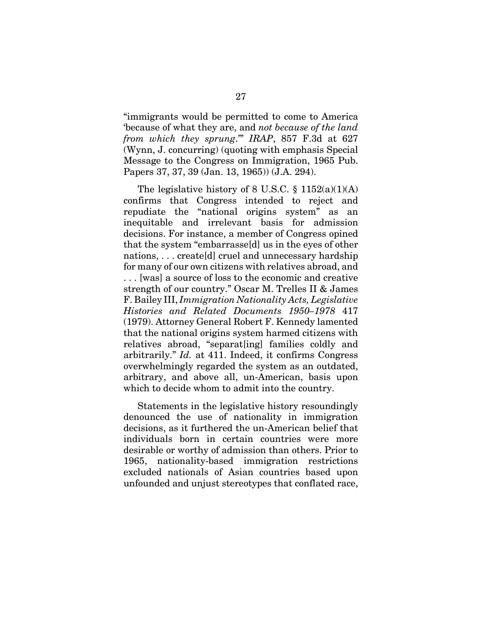"immigrants would be permitted to come to America 'because of what they are, and *not because of the land from which they sprung*.'" *IRAP*, 857 F.3d at 627 (Wynn, J. concurring) (quoting with emphasis Special Message to the Congress on Immigration, 1965 Pub. Papers 37, 37, 39 (Jan. 13, 1965)) (J.A. 294).

The legislative history of 8 U.S.C.  $\S$  1152(a)(1)(A) confirms that Congress intended to reject and repudiate the "national origins system" as an inequitable and irrelevant basis for admission decisions. For instance, a member of Congress opined that the system "embarrasse[d] us in the eyes of other nations, . . . create[d] cruel and unnecessary hardship for many of our own citizens with relatives abroad, and . . . [was] a source of loss to the economic and creative strength of our country." Oscar M. Trelles II & James F. Bailey III, *Immigration Nationality Acts, Legislative Histories and Related Documents 1950–1978* 417 (1979). Attorney General Robert F. Kennedy lamented that the national origins system harmed citizens with relatives abroad, "separat[ing] families coldly and arbitrarily." *Id.* at 411. Indeed, it confirms Congress overwhelmingly regarded the system as an outdated, arbitrary, and above all, un-American, basis upon which to decide whom to admit into the country.

Statements in the legislative history resoundingly denounced the use of nationality in immigration decisions, as it furthered the un-American belief that individuals born in certain countries were more desirable or worthy of admission than others. Prior to 1965, nationality-based immigration restrictions excluded nationals of Asian countries based upon unfounded and unjust stereotypes that conflated race,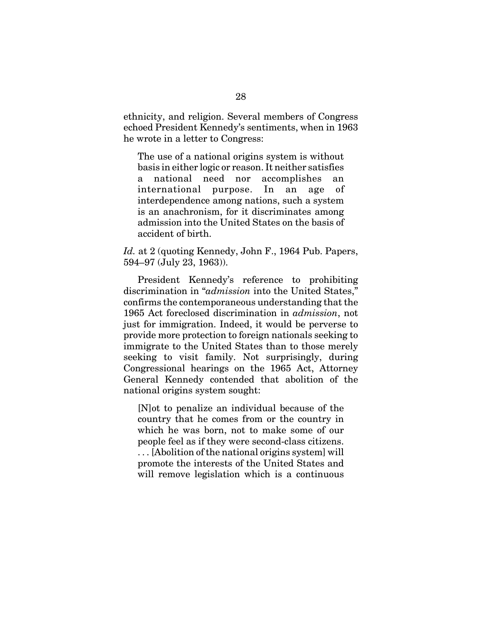ethnicity, and religion. Several members of Congress echoed President Kennedy's sentiments, when in 1963 he wrote in a letter to Congress:

The use of a national origins system is without basis in either logic or reason. It neither satisfies a national need nor accomplishes an international purpose. In an age of interdependence among nations, such a system is an anachronism, for it discriminates among admission into the United States on the basis of accident of birth.

*Id.* at 2 (quoting Kennedy, John F., 1964 Pub. Papers, 594–97 (July 23, 1963)).

President Kennedy's reference to prohibiting discrimination in "*admission* into the United States," confirms the contemporaneous understanding that the 1965 Act foreclosed discrimination in *admission*, not just for immigration. Indeed, it would be perverse to provide more protection to foreign nationals seeking to immigrate to the United States than to those merely seeking to visit family. Not surprisingly, during Congressional hearings on the 1965 Act, Attorney General Kennedy contended that abolition of the national origins system sought:

[N]ot to penalize an individual because of the country that he comes from or the country in which he was born, not to make some of our people feel as if they were second-class citizens.

. . . [Abolition of the national origins system] will promote the interests of the United States and will remove legislation which is a continuous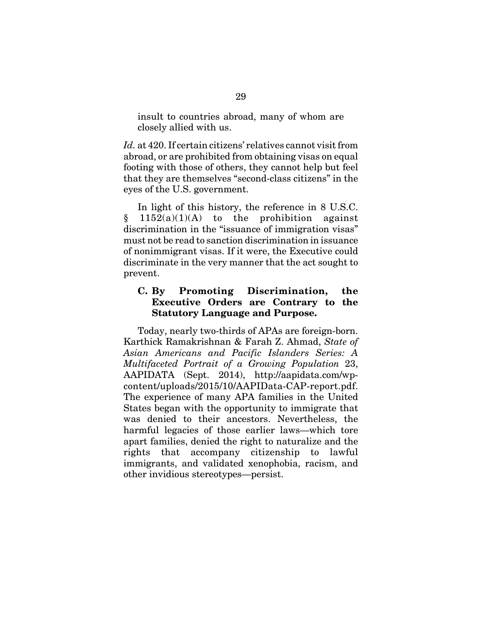insult to countries abroad, many of whom are closely allied with us.

*Id.* at 420. If certain citizens' relatives cannot visit from abroad, or are prohibited from obtaining visas on equal footing with those of others, they cannot help but feel that they are themselves "second-class citizens" in the eyes of the U.S. government.

In light of this history, the reference in 8 U.S.C.  $\S$  1152(a)(1)(A) to the prohibition against discrimination in the "issuance of immigration visas" must not be read to sanction discrimination in issuance of nonimmigrant visas. If it were, the Executive could discriminate in the very manner that the act sought to prevent.

### **C. By Promoting Discrimination, the Executive Orders are Contrary to the Statutory Language and Purpose.**

Today, nearly two-thirds of APAs are foreign-born. Karthick Ramakrishnan & Farah Z. Ahmad, *State of Asian Americans and Pacific Islanders Series: A Multifaceted Portrait of a Growing Population* 23, AAPIDATA (Sept. 2014), http://aapidata.com/wpcontent/uploads/2015/10/AAPIData-CAP-report.pdf. The experience of many APA families in the United States began with the opportunity to immigrate that was denied to their ancestors. Nevertheless, the harmful legacies of those earlier laws—which tore apart families, denied the right to naturalize and the rights that accompany citizenship to lawful immigrants, and validated xenophobia, racism, and other invidious stereotypes—persist.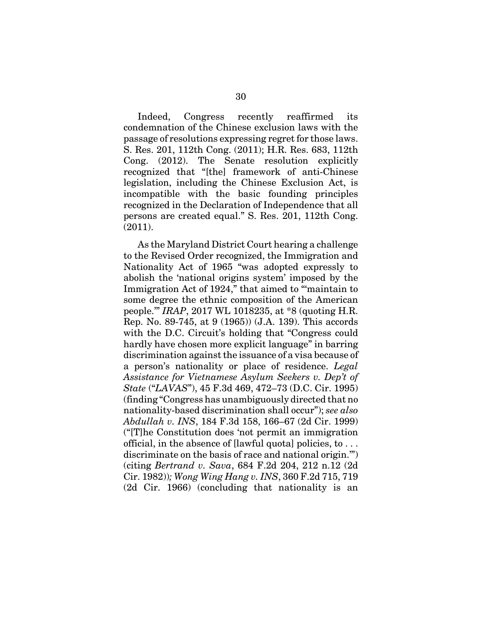Indeed, Congress recently reaffirmed its condemnation of the Chinese exclusion laws with the passage of resolutions expressing regret for those laws. S. Res. 201, 112th Cong. (2011); H.R. Res. 683, 112th Cong. (2012). The Senate resolution explicitly recognized that "[the] framework of anti-Chinese legislation, including the Chinese Exclusion Act, is incompatible with the basic founding principles recognized in the Declaration of Independence that all persons are created equal." S. Res. 201, 112th Cong. (2011).

As the Maryland District Court hearing a challenge to the Revised Order recognized, the Immigration and Nationality Act of 1965 "was adopted expressly to abolish the 'national origins system' imposed by the Immigration Act of 1924," that aimed to "'maintain to some degree the ethnic composition of the American people.'" *IRAP*, 2017 WL 1018235, at \*8 (quoting H.R. Rep. No. 89-745, at 9 (1965)) (J.A. 139). This accords with the D.C. Circuit's holding that "Congress could hardly have chosen more explicit language" in barring discrimination against the issuance of a visa because of a person's nationality or place of residence. *Legal Assistance for Vietnamese Asylum Seekers v. Dep't of State* ("*LAVAS*"), 45 F.3d 469, 472–73 (D.C. Cir. 1995) (finding "Congress has unambiguously directed that no nationality-based discrimination shall occur"); *see also Abdullah v. INS*, 184 F.3d 158, 166–67 (2d Cir. 1999) ("[T]he Constitution does 'not permit an immigration official, in the absence of [lawful quota] policies, to . . . discriminate on the basis of race and national origin.'") (citing *Bertrand v. Sava*, 684 F.2d 204, 212 n.12 (2d Cir. 1982))*; Wong Wing Hang v. INS*, 360 F.2d 715, 719 (2d Cir. 1966) (concluding that nationality is an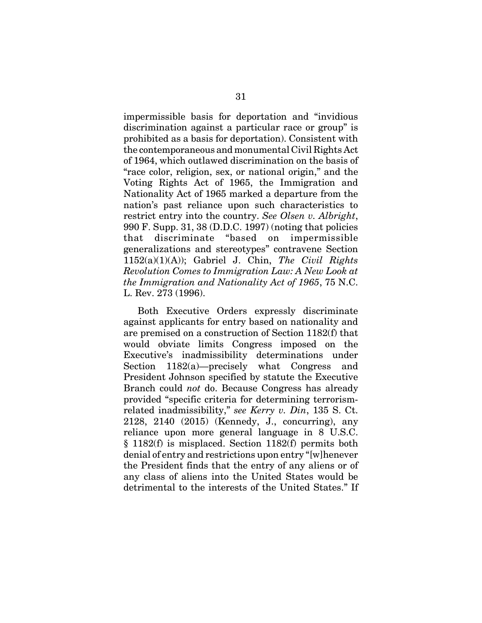impermissible basis for deportation and "invidious discrimination against a particular race or group" is prohibited as a basis for deportation). Consistent with the contemporaneous and monumental Civil Rights Act of 1964, which outlawed discrimination on the basis of "race color, religion, sex, or national origin," and the Voting Rights Act of 1965, the Immigration and Nationality Act of 1965 marked a departure from the nation's past reliance upon such characteristics to restrict entry into the country. *See Olsen v. Albright*, 990 F. Supp. 31, 38 (D.D.C. 1997) (noting that policies that discriminate "based on impermissible generalizations and stereotypes" contravene Section 1152(a)(1)(A)); Gabriel J. Chin, *The Civil Rights Revolution Comes to Immigration Law: A New Look at the Immigration and Nationality Act of 1965*, 75 N.C. L. Rev. 273 (1996).

Both Executive Orders expressly discriminate against applicants for entry based on nationality and are premised on a construction of Section 1182(f) that would obviate limits Congress imposed on the Executive's inadmissibility determinations under Section 1182(a)—precisely what Congress and President Johnson specified by statute the Executive Branch could *not* do. Because Congress has already provided "specific criteria for determining terrorismrelated inadmissibility," *see Kerry v. Din*, 135 S. Ct. 2128, 2140 (2015) (Kennedy, J., concurring), any reliance upon more general language in 8 U.S.C. § 1182(f) is misplaced. Section 1182(f) permits both denial of entry and restrictions upon entry "[w]henever the President finds that the entry of any aliens or of any class of aliens into the United States would be detrimental to the interests of the United States." If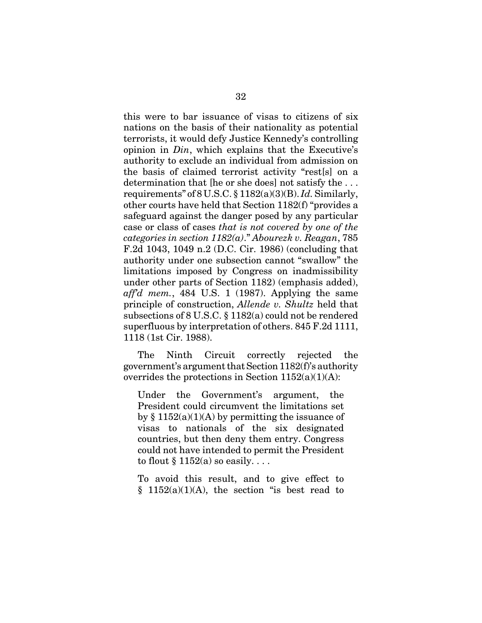this were to bar issuance of visas to citizens of six nations on the basis of their nationality as potential terrorists, it would defy Justice Kennedy's controlling opinion in *Din*, which explains that the Executive's authority to exclude an individual from admission on the basis of claimed terrorist activity "rest[s] on a determination that [he or she does] not satisfy the . . . requirements" of 8 U.S.C. § 1182(a)(3)(B). *Id.* Similarly, other courts have held that Section 1182(f) "provides a safeguard against the danger posed by any particular case or class of cases *that is not covered by one of the categories in section 1182(a)*." *Abourezk v. Reagan*, 785 F.2d 1043, 1049 n.2 (D.C. Cir. 1986) (concluding that authority under one subsection cannot "swallow" the limitations imposed by Congress on inadmissibility under other parts of Section 1182) (emphasis added), *aff'd mem.*, 484 U.S. 1 (1987). Applying the same principle of construction, *Allende v. Shultz* held that subsections of 8 U.S.C. § 1182(a) could not be rendered superfluous by interpretation of others. 845 F.2d 1111, 1118 (1st Cir. 1988).

The Ninth Circuit correctly rejected the government's argument that Section 1182(f)'s authority overrides the protections in Section  $1152(a)(1)(A)$ :

Under the Government's argument, the President could circumvent the limitations set by  $\S 1152(a)(1)(A)$  by permitting the issuance of visas to nationals of the six designated countries, but then deny them entry. Congress could not have intended to permit the President to flout  $\S 1152(a)$  so easily...

To avoid this result, and to give effect to  $§$  1152(a)(1)(A), the section "is best read to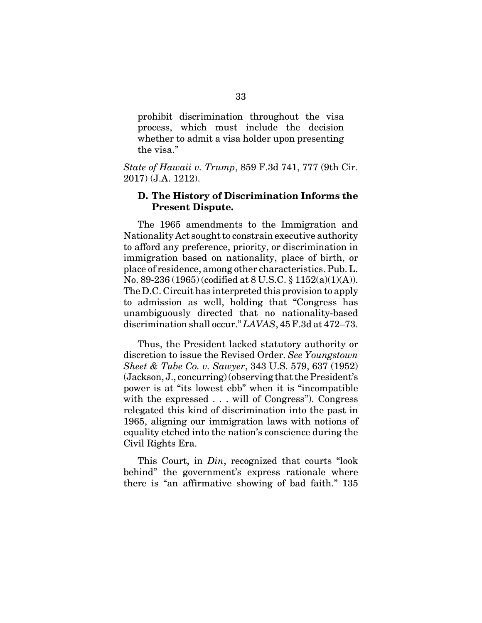prohibit discrimination throughout the visa process, which must include the decision whether to admit a visa holder upon presenting the visa."

*State of Hawaii v. Trump*, 859 F.3d 741, 777 (9th Cir. 2017) (J.A. 1212).

#### **D. The History of Discrimination Informs the Present Dispute.**

The 1965 amendments to the Immigration and Nationality Act sought to constrain executive authority to afford any preference, priority, or discrimination in immigration based on nationality, place of birth, or place of residence, among other characteristics. Pub. L. No. 89-236 (1965) (codified at 8 U.S.C. § 1152(a)(1)(A)). The D.C. Circuit has interpreted this provision to apply to admission as well, holding that "Congress has unambiguously directed that no nationality-based discrimination shall occur." *LAVAS*, 45 F.3d at 472–73.

Thus, the President lacked statutory authority or discretion to issue the Revised Order. *See Youngstown Sheet & Tube Co. v. Sawyer*, 343 U.S. 579, 637 (1952) (Jackson, J., concurring) (observing that the President's power is at "its lowest ebb" when it is "incompatible with the expressed . . . will of Congress"). Congress relegated this kind of discrimination into the past in 1965, aligning our immigration laws with notions of equality etched into the nation's conscience during the Civil Rights Era.

This Court, in *Din*, recognized that courts "look behind" the government's express rationale where there is "an affirmative showing of bad faith." 135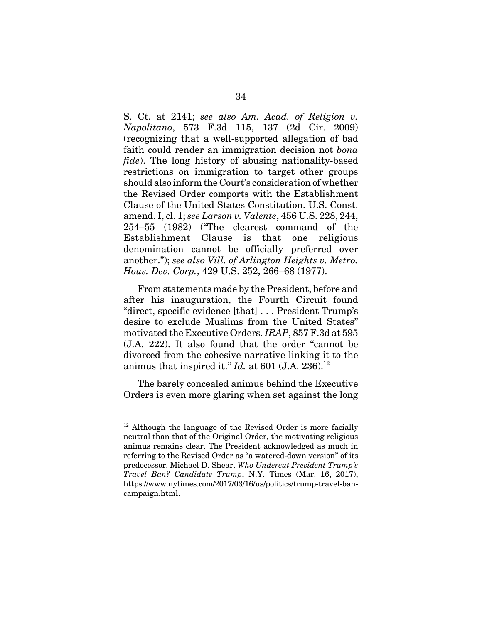S. Ct. at 2141; *see also Am. Acad. of Religion v. Napolitano*, 573 F.3d 115, 137 (2d Cir. 2009) (recognizing that a well-supported allegation of bad faith could render an immigration decision not *bona fide*). The long history of abusing nationality-based restrictions on immigration to target other groups should also inform the Court's consideration of whether the Revised Order comports with the Establishment Clause of the United States Constitution. U.S. Const. amend. I, cl. 1; *see Larson v. Valente*, 456 U.S. 228, 244, 254–55 (1982) ("The clearest command of the Establishment Clause is that one religious denomination cannot be officially preferred over another."); *see also Vill. of Arlington Heights v. Metro. Hous. Dev. Corp.*, 429 U.S. 252, 266–68 (1977).

From statements made by the President, before and after his inauguration, the Fourth Circuit found "direct, specific evidence [that] . . . President Trump's desire to exclude Muslims from the United States" motivated the Executive Orders. *IRAP*, 857 F.3d at 595 (J.A. 222). It also found that the order "cannot be divorced from the cohesive narrative linking it to the animus that inspired it." *Id.* at 601 (J.A. 236).<sup>12</sup>

The barely concealed animus behind the Executive Orders is even more glaring when set against the long

 $12$  Although the language of the Revised Order is more facially neutral than that of the Original Order, the motivating religious animus remains clear. The President acknowledged as much in referring to the Revised Order as "a watered-down version" of its predecessor. Michael D. Shear, *Who Undercut President Trump's Travel Ban? Candidate Trump*, N.Y. Times (Mar. 16, 2017), https://www.nytimes.com/2017/03/16/us/politics/trump-travel-bancampaign.html.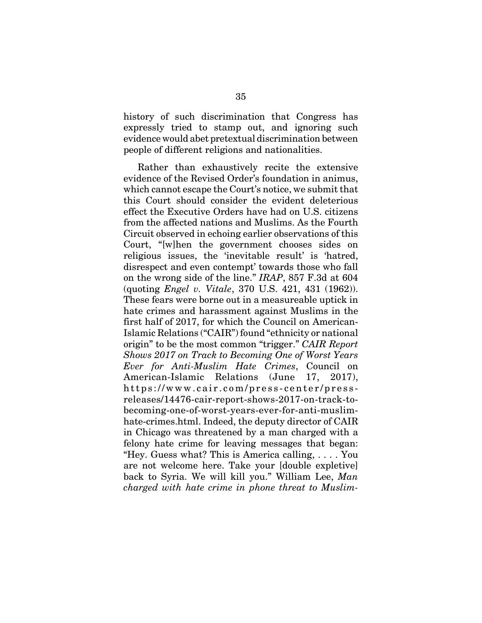history of such discrimination that Congress has expressly tried to stamp out, and ignoring such evidence would abet pretextual discrimination between people of different religions and nationalities.

Rather than exhaustively recite the extensive evidence of the Revised Order's foundation in animus, which cannot escape the Court's notice, we submit that this Court should consider the evident deleterious effect the Executive Orders have had on U.S. citizens from the affected nations and Muslims. As the Fourth Circuit observed in echoing earlier observations of this Court, "[w]hen the government chooses sides on religious issues, the 'inevitable result' is 'hatred, disrespect and even contempt' towards those who fall on the wrong side of the line." *IRAP*, 857 F.3d at 604 (quoting *Engel v. Vitale*, 370 U.S. 421, 431 (1962)). These fears were borne out in a measureable uptick in hate crimes and harassment against Muslims in the first half of 2017, for which the Council on American-Islamic Relations ("CAIR") found "ethnicity or national origin" to be the most common "trigger." *CAIR Report Shows 2017 on Track to Becoming One of Worst Years Ever for Anti-Muslim Hate Crimes*, Council on American-Islamic Relations (June 17, 2017), https://www.cair.com/press-center/pressreleases/14476-cair-report-shows-2017-on-track-tobecoming-one-of-worst-years-ever-for-anti-muslimhate-crimes.html. Indeed, the deputy director of CAIR in Chicago was threatened by a man charged with a felony hate crime for leaving messages that began: "Hey. Guess what? This is America calling, . . . . You are not welcome here. Take your [double expletive] back to Syria. We will kill you." William Lee, *Man charged with hate crime in phone threat to Muslim-*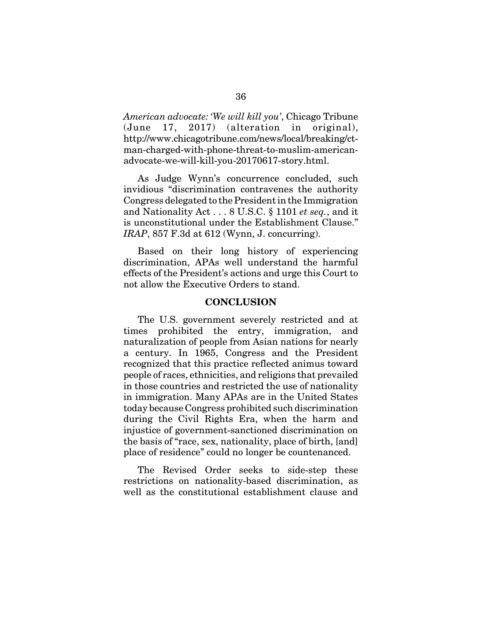*American advocate: 'We will kill you'*, Chicago Tribune (June 17, 2017) (alteration in original), http://www.chicagotribune.com/news/local/breaking/ctman-charged-with-phone-threat-to-muslim-americanadvocate-we-will-kill-you-20170617-story.html.

As Judge Wynn's concurrence concluded, such invidious "discrimination contravenes the authority Congress delegated to the President in the Immigration and Nationality Act . . . 8 U.S.C. § 1101 *et seq.*, and it is unconstitutional under the Establishment Clause." *IRAP*, 857 F.3d at 612 (Wynn, J. concurring).

Based on their long history of experiencing discrimination, APAs well understand the harmful effects of the President's actions and urge this Court to not allow the Executive Orders to stand.

#### **CONCLUSION**

The U.S. government severely restricted and at times prohibited the entry, immigration, and naturalization of people from Asian nations for nearly a century. In 1965, Congress and the President recognized that this practice reflected animus toward people of races, ethnicities, and religions that prevailed in those countries and restricted the use of nationality in immigration. Many APAs are in the United States today because Congress prohibited such discrimination during the Civil Rights Era, when the harm and injustice of government-sanctioned discrimination on the basis of "race, sex, nationality, place of birth, [and] place of residence" could no longer be countenanced.

The Revised Order seeks to side-step these restrictions on nationality-based discrimination, as well as the constitutional establishment clause and